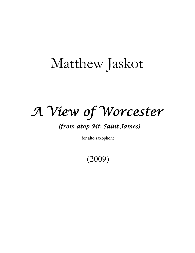## Matthew Jaskot

## *A View of Worcester*

## *(from atop Mt. Saint James)*

for alto saxophone

## (2009)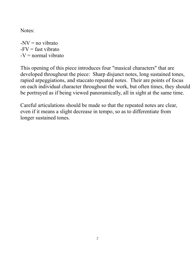Notes:

 $-NV = no$  vibrato  $-FV =$  fast vibrato  $-V =$  normal vibrato

This opening of this piece introduces four "musical characters" that are developed throughout the piece: Sharp disjunct notes, long sustained tones, rapied arpeggiations, and staccato repeated notes. Their are points of focus on each individual character throughout the work, but often times, they should be portrayed as if being viewed panoramically, all in sight at the same time.

Careful articulations should be made so that the repeated notes are clear, even if it means a slight decrease in tempo, so as to differentiate from longer sustained tones.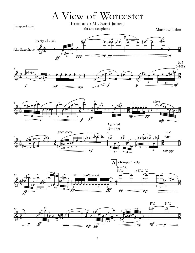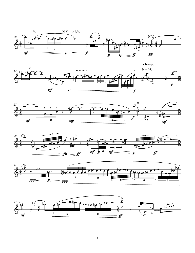









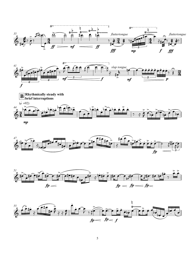









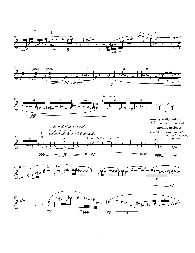









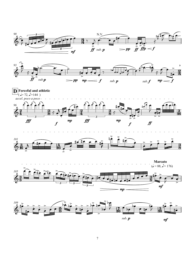